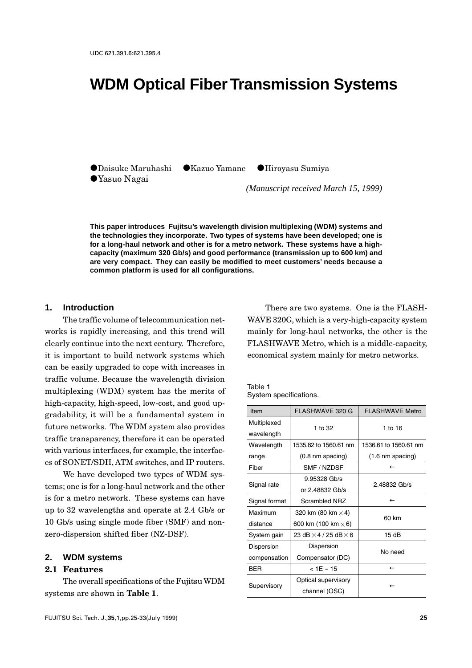# **WDM Optical Fiber Transmission Systems**

VDaisuke Maruhashi VKazuo Yamane VHiroyasu Sumiya VYasuo Nagai

*(Manuscript received March 15, 1999)*

**This paper introduces Fujitsu's wavelength division multiplexing (WDM) systems and the technologies they incorporate. Two types of systems have been developed; one is for a long-haul network and other is for a metro network. These systems have a highcapacity (maximum 320 Gb/s) and good performance (transmission up to 600 km) and are very compact. They can easily be modified to meet customers' needs because a common platform is used for all configurations.**

#### **1. Introduction**

The traffic volume of telecommunication networks is rapidly increasing, and this trend will clearly continue into the next century. Therefore, it is important to build network systems which can be easily upgraded to cope with increases in traffic volume. Because the wavelength division multiplexing (WDM) system has the merits of high-capacity, high-speed, low-cost, and good upgradability, it will be a fundamental system in future networks. The WDM system also provides traffic transparency, therefore it can be operated with various interfaces, for example, the interfaces of SONET/SDH, ATM switches, and IP routers.

We have developed two types of WDM systems; one is for a long-haul network and the other is for a metro network. These systems can have up to 32 wavelengths and operate at 2.4 Gb/s or 10 Gb/s using single mode fiber (SMF) and nonzero-dispersion shifted fiber (NZ-DSF).

#### **2. WDM systems**

#### **2.1 Features**

The overall specifications of the Fujitsu WDM systems are shown in **Table 1**.

There are two systems. One is the FLASH-WAVE 320G, which is a very-high-capacity system mainly for long-haul networks, the other is the FLASHWAVE Metro, which is a middle-capacity, economical system mainly for metro networks.

Table 1 System specifications.

| Item          | <b>FLASHWAVE 320 G</b>              | <b>FLASHWAVE Metro</b>     |  |  |
|---------------|-------------------------------------|----------------------------|--|--|
| Multiplexed   | 1 to 32                             | 1 to 16                    |  |  |
| wavelength    |                                     |                            |  |  |
| Wavelength    | 1535.82 to 1560.61 nm               | 1536.61 to 1560.61 nm      |  |  |
| range         | $(0.8 \text{ nm spacing})$          | $(1.6 \text{ nm spacing})$ |  |  |
| Fiber         | SMF / NZDSF                         | $\leftarrow$               |  |  |
| Signal rate   | 9.95328 Gb/s                        | 2.48832 Gb/s               |  |  |
|               | or 2.48832 Gb/s                     |                            |  |  |
| Signal format | <b>Scrambled NRZ</b>                | $\leftarrow$               |  |  |
| Maximum       | 320 km (80 km $\times$ 4)           | 60 km                      |  |  |
| distance      | 600 km (100 km $\times$ 6)          |                            |  |  |
| System gain   | 23 dB $\times$ 4 / 25 dB $\times$ 6 | 15dB                       |  |  |
| Dispersion    | Dispersion                          | No need                    |  |  |
| compensation  | Compensator (DC)                    |                            |  |  |
| <b>BER</b>    | $<$ 1E - 15                         | $\leftarrow$               |  |  |
| Supervisory   | Optical supervisory                 |                            |  |  |
|               | channel (OSC)                       |                            |  |  |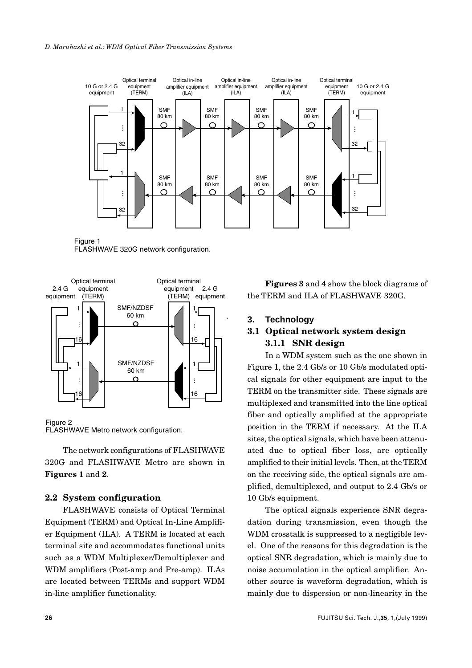

Figure 1 FLASHWAVE 320G network configuration.



#### Figure 2 FLASHWAVE Metro network configuration.

The network configurations of FLASHWAVE 320G and FLASHWAVE Metro are shown in **Figures 1** and **2**.

### **2.2 System configuration**

FLASHWAVE consists of Optical Terminal Equipment (TERM) and Optical In-Line Amplifier Equipment (ILA). A TERM is located at each terminal site and accommodates functional units such as a WDM Multiplexer/Demultiplexer and WDM amplifiers (Post-amp and Pre-amp). ILAs are located between TERMs and support WDM in-line amplifier functionality.

**Figures 3** and **4** show the block diagrams of the TERM and ILA of FLASHWAVE 320G.

### **3. Technology**

## **3.1 Optical network system design 3.1.1 SNR design**

In a WDM system such as the one shown in Figure 1, the 2.4 Gb/s or 10 Gb/s modulated optical signals for other equipment are input to the TERM on the transmitter side. These signals are multiplexed and transmitted into the line optical fiber and optically amplified at the appropriate position in the TERM if necessary. At the ILA sites, the optical signals, which have been attenuated due to optical fiber loss, are optically amplified to their initial levels. Then, at the TERM on the receiving side, the optical signals are amplified, demultiplexed, and output to 2.4 Gb/s or 10 Gb/s equipment.

The optical signals experience SNR degradation during transmission, even though the WDM crosstalk is suppressed to a negligible level. One of the reasons for this degradation is the optical SNR degradation, which is mainly due to noise accumulation in the optical amplifier. Another source is waveform degradation, which is mainly due to dispersion or non-linearity in the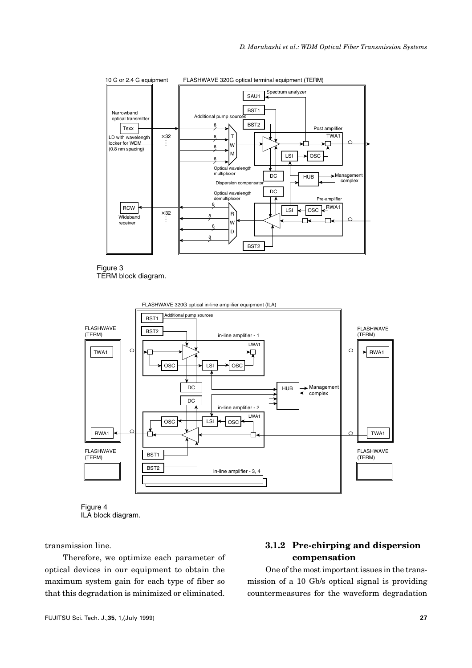

Figure 3 TERM block diagram.





transmission line.

Therefore, we optimize each parameter of optical devices in our equipment to obtain the maximum system gain for each type of fiber so that this degradation is minimized or eliminated.

# **3.1.2 Pre-chirping and dispersion compensation**

One of the most important issues in the transmission of a 10 Gb/s optical signal is providing countermeasures for the waveform degradation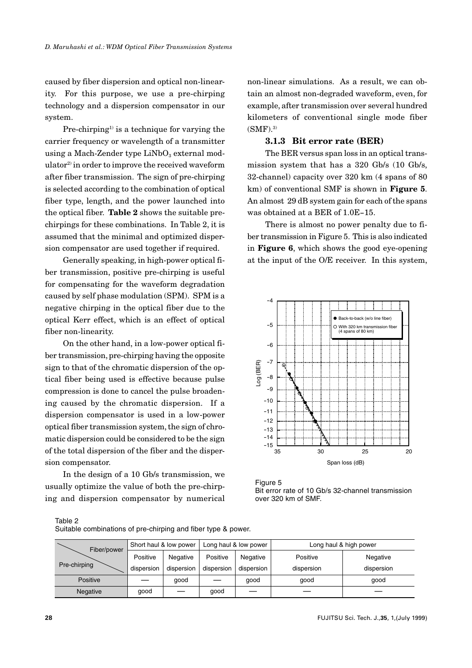caused by fiber dispersion and optical non-linearity. For this purpose, we use a pre-chirping technology and a dispersion compensator in our system.

Pre-chirping<sup>1)</sup> is a technique for varying the carrier frequency or wavelength of a transmitter using a Mach-Zender type  $LiNbO<sub>3</sub>$  external modulator2) in order to improve the received waveform after fiber transmission. The sign of pre-chirping is selected according to the combination of optical fiber type, length, and the power launched into the optical fiber. **Table 2** shows the suitable prechirpings for these combinations. In Table 2, it is assumed that the minimal and optimized dispersion compensator are used together if required.

Generally speaking, in high-power optical fiber transmission, positive pre-chirping is useful for compensating for the waveform degradation caused by self phase modulation (SPM). SPM is a negative chirping in the optical fiber due to the optical Kerr effect, which is an effect of optical fiber non-linearity.

On the other hand, in a low-power optical fiber transmission, pre-chirping having the opposite sign to that of the chromatic dispersion of the optical fiber being used is effective because pulse compression is done to cancel the pulse broadening caused by the chromatic dispersion. If a dispersion compensator is used in a low-power optical fiber transmission system, the sign of chromatic dispersion could be considered to be the sign of the total dispersion of the fiber and the dispersion compensator.

In the design of a 10 Gb/s transmission, we usually optimize the value of both the pre-chirping and dispersion compensator by numerical non-linear simulations. As a result, we can obtain an almost non-degraded waveform, even, for example, after transmission over several hundred kilometers of conventional single mode fiber  $(SMF).<sup>3</sup>$ 

#### **3.1.3 Bit error rate (BER)**

The BER versus span loss in an optical transmission system that has a 320 Gb/s (10 Gb/s, 32-channel) capacity over 320 km (4 spans of 80 km) of conventional SMF is shown in **Figure 5**. An almost 29 dB system gain for each of the spans was obtained at a BER of 1.0E-15.

There is almost no power penalty due to fiber transmission in Figure 5. This is also indicated in **Figure 6**, which shows the good eye-opening at the input of the O/E receiver. In this system,



Figure 5 Bit error rate of 10 Gb/s 32-channel transmission over 320 km of SMF.

Table 2

| Fiber/power<br>Pre-chirping | Short haul & low power |            | Long haul & low power |            | Long haul & high power |            |
|-----------------------------|------------------------|------------|-----------------------|------------|------------------------|------------|
|                             | Positive               | Negative   | Positive              | Negative   | Positive               | Negative   |
|                             | dispersion             | dispersion | dispersion            | dispersion | dispersion             | dispersion |
| Positive                    |                        | aood       |                       | good       | good                   | good       |
| Negative                    | good                   |            | good                  |            |                        |            |

Suitable combinations of pre-chirping and fiber type & power.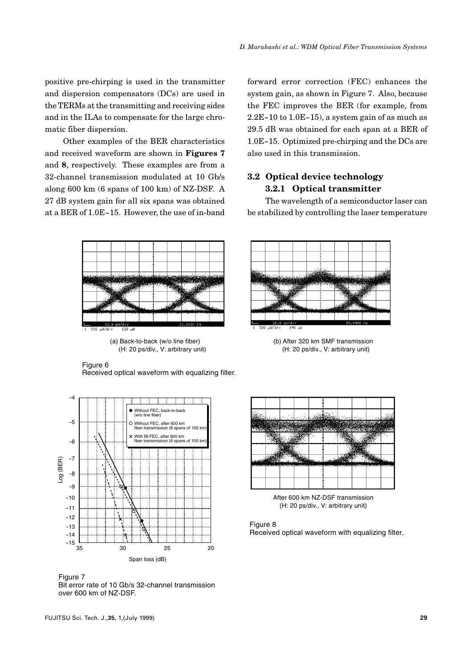positive pre-chirping is used in the transmitter and dispersion compensators (DCs) are used in the TERMs at the transmitting and receiving sides and in the ILAs to compensate for the large chromatic fiber dispersion.

Other examples of the BER characteristics and received waveform are shown in **Figures 7** and **8**, respectively. These examples are from a 32-channel transmission modulated at 10 Gb/s along 600 km (6 spans of 100 km) of NZ-DSF. A 27 dB system gain for all six spans was obtained at a BER of 1.0E-15. However, the use of in-band

> $20.0$  ps/di 500 - JUZH)  $500$

(a) Back-to-back (w/o line fiber) (H: 20 ps/div., V: arbitrary unit)

Figure 6 Received optical waveform with equalizing filter.



Figure 7 Bit error rate of 10 Gb/s 32-channel transmission over 600 km of NZ-DSF.

forward error correction (FEC) enhances the system gain, as shown in Figure 7. Also, because the FEC improves the BER (for example, from 2.2E-10 to 1.0E-15), a system gain of as much as 29.5 dB was obtained for each span at a BER of 1.0E-15. Optimized pre-chirping and the DCs are also used in this transmission.

## **3.2 Optical device technology 3.2.1 Optical transmitter**

The wavelength of a semiconductor laser can be stabilized by controlling the laser temperature



(b) After 320 km SMF transmission (H: 20 ps/div., V: arbitrary unit)



After 600 km NZ-DSF transmission (H: 20 ps/div., V: arbitrary unit)

#### Figure 8

Received optical waveform with equalizing filter.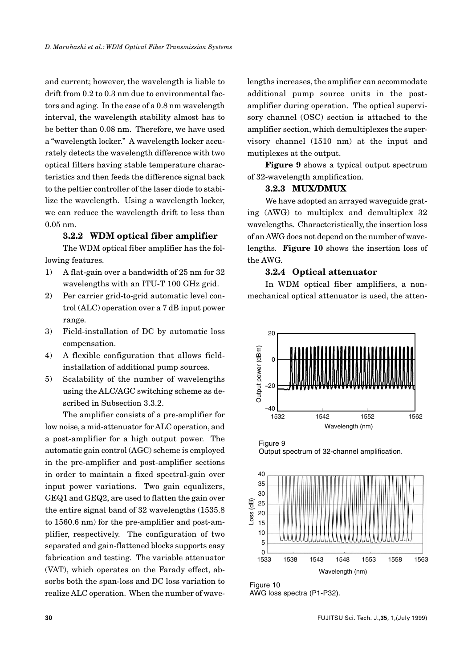and current; however, the wavelength is liable to drift from 0.2 to 0.3 nm due to environmental factors and aging. In the case of a 0.8 nm wavelength interval, the wavelength stability almost has to be better than 0.08 nm. Therefore, we have used a "wavelength locker." A wavelength locker accurately detects the wavelength difference with two optical filters having stable temperature characteristics and then feeds the difference signal back to the peltier controller of the laser diode to stabilize the wavelength. Using a wavelength locker, we can reduce the wavelength drift to less than 0.05 nm.

## **3.2.2 WDM optical fiber amplifier**

The WDM optical fiber amplifier has the following features.

- 1) A flat-gain over a bandwidth of 25 nm for 32 wavelengths with an ITU-T 100 GHz grid.
- 2) Per carrier grid-to-grid automatic level control (ALC) operation over a 7 dB input power range.
- 3) Field-installation of DC by automatic loss compensation.
- 4) A flexible configuration that allows fieldinstallation of additional pump sources.
- 5) Scalability of the number of wavelengths using the ALC/AGC switching scheme as described in Subsection 3.3.2.

The amplifier consists of a pre-amplifier for low noise, a mid-attenuator for ALC operation, and a post-amplifier for a high output power. The automatic gain control (AGC) scheme is employed in the pre-amplifier and post-amplifier sections in order to maintain a fixed spectral-gain over input power variations. Two gain equalizers, GEQ1 and GEQ2, are used to flatten the gain over the entire signal band of 32 wavelengths (1535.8 to 1560.6 nm) for the pre-amplifier and post-amplifier, respectively. The configuration of two separated and gain-flattened blocks supports easy fabrication and testing. The variable attenuator (VAT), which operates on the Farady effect, absorbs both the span-loss and DC loss variation to realize ALC operation. When the number of wavelengths increases, the amplifier can accommodate additional pump source units in the postamplifier during operation. The optical supervisory channel (OSC) section is attached to the amplifier section, which demultiplexes the supervisory channel (1510 nm) at the input and mutiplexes at the output.

**Figure 9** shows a typical output spectrum of 32-wavelength amplification.

### **3.2.3 MUX/DMUX**

We have adopted an arrayed waveguide grating (AWG) to multiplex and demultiplex 32 wavelengths. Characteristically, the insertion loss of an AWG does not depend on the number of wavelengths. **Figure 10** shows the insertion loss of the AWG.

## **3.2.4 Optical attenuator**

In WDM optical fiber amplifiers, a nonmechanical optical attenuator is used, the atten-



Figure 9 Output spectrum of 32-channel amplification.



Figure 10 AWG loss spectra (P1-P32).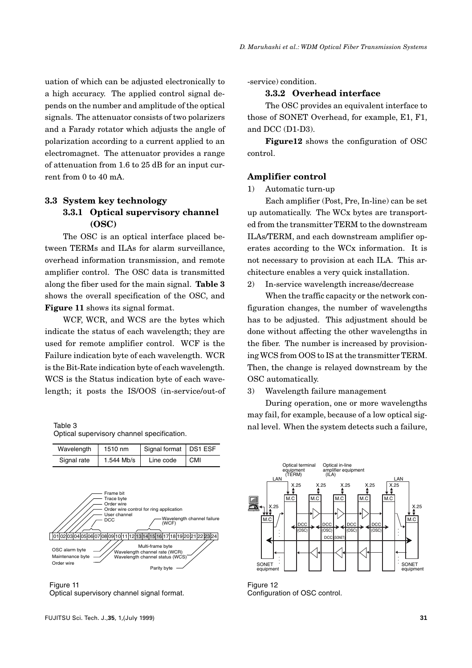uation of which can be adjusted electronically to a high accuracy. The applied control signal depends on the number and amplitude of the optical signals. The attenuator consists of two polarizers and a Farady rotator which adjusts the angle of polarization according to a current applied to an electromagnet. The attenuator provides a range of attenuation from 1.6 to 25 dB for an input current from 0 to 40 mA.

# **3.3 System key technology 3.3.1 Optical supervisory channel (OSC)**

The OSC is an optical interface placed between TERMs and ILAs for alarm surveillance, overhead information transmission, and remote amplifier control. The OSC data is transmitted along the fiber used for the main signal. **Table 3** shows the overall specification of the OSC, and **Figure 11** shows its signal format.

WCF, WCR, and WCS are the bytes which indicate the status of each wavelength; they are used for remote amplifier control. WCF is the Failure indication byte of each wavelength. WCR is the Bit-Rate indication byte of each wavelength. WCS is the Status indication byte of each wavelength; it posts the IS/OOS (in-service/out-of

Table 3 Optical supervisory channel specification.

| Wavelength  | 1510 nm    | Signal format   DS1 ESF |            |
|-------------|------------|-------------------------|------------|
| Signal rate | 1.544 Mb/s | Line code               | <b>CMI</b> |
|             |            |                         |            |



Figure 11 Optical supervisory channel signal format.

-service) condition.

#### **3.3.2 Overhead interface**

The OSC provides an equivalent interface to those of SONET Overhead, for example, E1, F1, and DCC (D1-D3).

**Figure12** shows the configuration of OSC control.

#### **Amplifier control**

1) Automatic turn-up

Each amplifier (Post, Pre, In-line) can be set up automatically. The WCx bytes are transported from the transmitter TERM to the downstream ILAs/TERM, and each downstream amplifier operates according to the WCx information. It is not necessary to provision at each ILA. This architecture enables a very quick installation.

2) In-service wavelength increase/decrease

When the traffic capacity or the network configuration changes, the number of wavelengths has to be adjusted. This adjustment should be done without affecting the other wavelengths in the fiber. The number is increased by provisioning WCS from OOS to IS at the transmitter TERM. Then, the change is relayed downstream by the OSC automatically.

3) Wavelength failure management

During operation, one or more wavelengths may fail, for example, because of a low optical signal level. When the system detects such a failure,



Figure 12 Configuration of OSC control.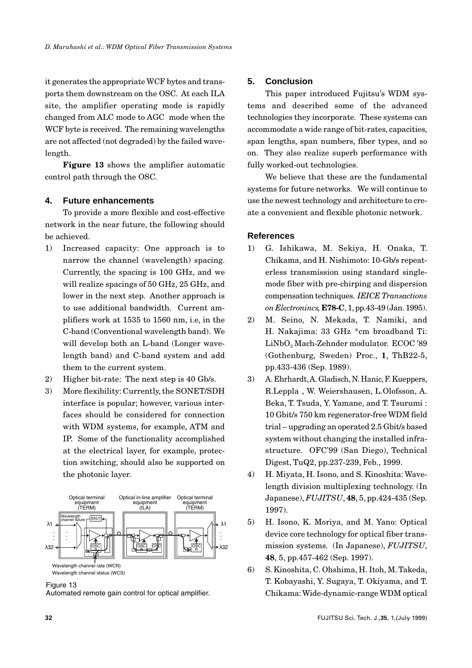it generates the appropriate WCF bytes and transports them downstream on the OSC. At each ILA site, the amplifier operating mode is rapidly changed from ALC mode to AGC mode when the WCF byte is received. The remaining wavelengths are not affected (not degraded) by the failed wavelength.

**Figure 13** shows the amplifier automatic control path through the OSC.

# **4. Future enhancements**

To provide a more flexible and cost-effective network in the near future, the following should be achieved.

- 1) Increased capacity: One approach is to narrow the channel (wavelength) spacing. Currently, the spacing is 100 GHz, and we will realize spacings of 50 GHz, 25 GHz, and lower in the next step. Another approach is to use additional bandwidth. Current amplifiers work at 1535 to 1560 nm, i.e, in the C-band (Conventional wavelength band). We will develop both an L-band (Longer wavelength band) and C-band system and add them to the current system.
- 2) Higher bit-rate: The next step is 40 Gb/s.
- 3) More flexibility: Currently, the SONET/SDH interface is popular; however, various interfaces should be considered for connection with WDM systems, for example, ATM and IP. Some of the functionality accomplished at the electrical layer, for example, protection switching, should also be supported on the photonic layer.



#### Figure 13

Automated remote gain control for optical amplifier.

# **5. Conclusion**

This paper introduced Fujitsu's WDM systems and described some of the advanced technologies they incorporate. These systems can accommodate a wide range of bit-rates, capacities, span lengths, span numbers, fiber types, and so on. They also realize superb performance with fully worked-out technologies.

We believe that these are the fundamental systems for future networks. We will continue to use the newest technology and architecture to create a convenient and flexible photonic network.

### **References**

- 1) G. Ishikawa, M. Sekiya, H. Onaka, T. Chikama, and H. Nishimoto: 10-Gb/s repeaterless transmission using standard singlemode fiber with pre-chirping and dispersion compensation techniques. *IEICE Transactions on Electronincs,* **E78-C**, 1, pp.43-49 (Jan. 1995).
- 2) M. Seino, N. Mekada, T. Namiki, and H. Nakajima: 33 GHz \*cm broadband Ti: LiNbO<sub>2</sub> Mach-Zehnder modulator. ECOC '89 (Gothenburg, Sweden) Proc., **1**, ThB22-5, pp.433-436 (Sep. 1989).
- 3) A. Ehrhardt, A. Gladisch, N. Hanic, F. Kueppers, R.Leppla , W. Weiershausen, L.Olofsson, A. Beka, T. Tsuda, Y. Yamane, and T. Tsurumi : 10 Gbit/s 750 km regenerator-free WDM field trial – upgrading an operated 2.5 Gbit/s based system without changing the installed infrastructure. OFC'99 (San Diego), Technical Digest, TuQ2, pp.237-239, Feb., 1999.
- 4) H. Miyata, H. Isono, and S. Kinoshita: Wavelength division multiplexing technology. (In Japanese), *FUJITSU*, **48**, 5, pp.424-435 (Sep. 1997).
- 5) H. Isono, K. Moriya, and M. Yano: Optical device core technology for optical fiber transmission systems. (In Japanese), *FUJITSU*, **48**, 5, pp.457-462 (Sep. 1997).
- 6) S. Kinoshita, C. Ohshima, H. Itoh, M. Takeda, T. Kobayashi, Y. Sugaya, T. Okiyama, and T. Chikama: Wide-dynamic-range WDM optical